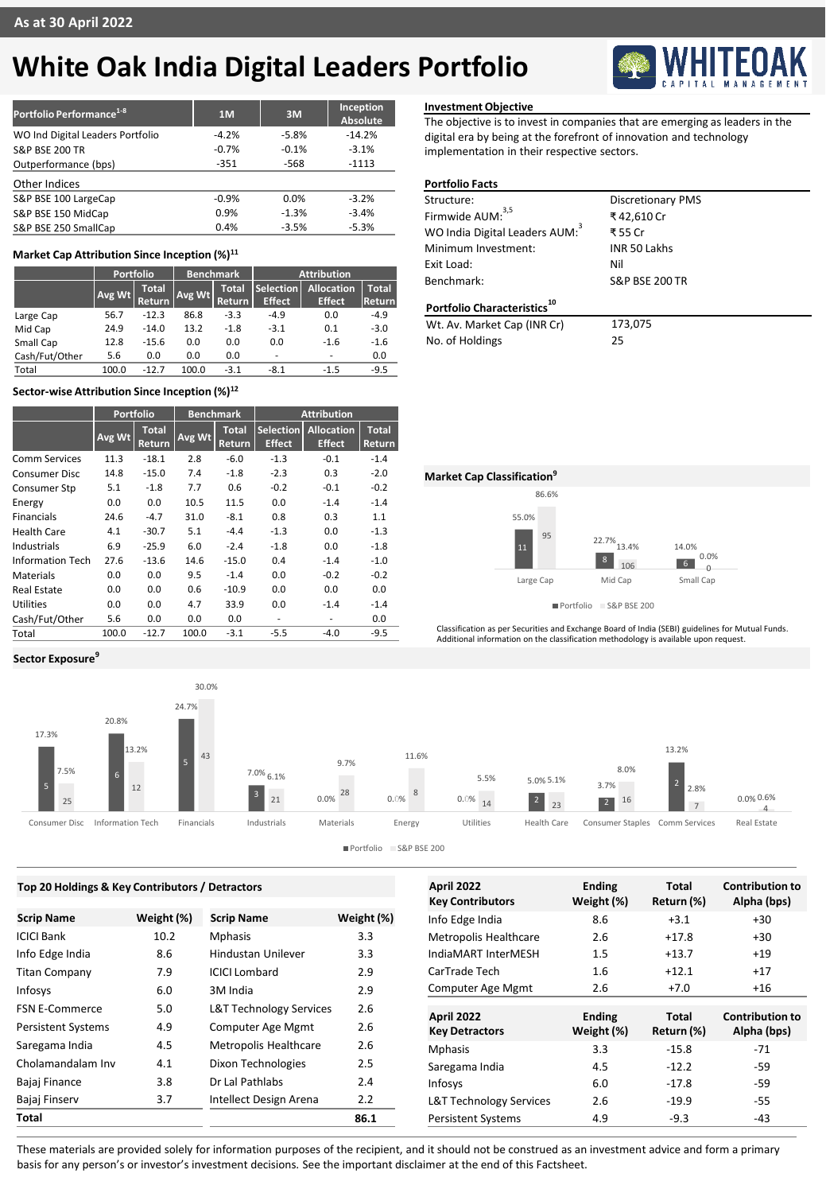# **White Oak India Digital Leaders Portfolio**

| Portfolio Performance <sup>1-8</sup> | 1 <sub>M</sub> | 3M      | Inception<br>Absolute |
|--------------------------------------|----------------|---------|-----------------------|
| WO Ind Digital Leaders Portfolio     | $-4.2%$        | $-5.8%$ | $-14.2%$              |
| <b>S&amp;P BSE 200 TR</b>            | $-0.7%$        | $-0.1%$ | $-3.1%$               |
| Outperformance (bps)                 | $-351$         | $-568$  | $-1113$               |
| Other Indices                        |                |         |                       |
| S&P BSE 100 LargeCap                 | $-0.9%$        | 0.0%    | $-3.2%$               |
| S&P BSE 150 MidCap                   | 0.9%           | $-1.3%$ | $-3.4%$               |
| S&P BSE 250 SmallCap                 | 0.4%           | $-3.5%$ | $-5.3%$               |

# **Market Cap Attribution Since Inception (%)<sup>11</sup>**

|                | Portfolio |                               | <b>Benchmark</b> |                               | <b>Attribution</b>                |                             |                        |
|----------------|-----------|-------------------------------|------------------|-------------------------------|-----------------------------------|-----------------------------|------------------------|
|                | Avg Wt    | <b>Total</b><br><b>Return</b> | Avg Wt           | <b>Total</b><br><b>Return</b> | <b>Selection</b><br><b>Effect</b> | Allocation<br><b>Effect</b> | <b>Total</b><br>Return |
| Large Cap      | 56.7      | $-12.3$                       | 86.8             | $-3.3$                        | $-4.9$                            | 0.0                         | $-4.9$                 |
| Mid Cap        | 24.9      | $-14.0$                       | 13.2             | $-1.8$                        | $-3.1$                            | 0.1                         | $-3.0$                 |
| Small Cap      | 12.8      | $-15.6$                       | 0.0              | 0.0                           | 0.0                               | $-1.6$                      | $-1.6$                 |
| Cash/Fut/Other | 5.6       | 0.0                           | 0.0              | 0.0                           | ۰                                 | $\overline{\phantom{0}}$    | 0.0                    |
| Total          | 100.0     | -12.7                         | 100.0            | $-3.1$                        | $-8.1$                            | $-1.5$                      | $-9.5$                 |

# **Sector-wise Attribution Since Inception (%)<sup>12</sup>**

**Sector Exposure<sup>9</sup>**

|                      | <b>Portfolio</b> |                        | <b>Benchmark</b> |                        | <b>Attribution</b>                |                                    |                        |
|----------------------|------------------|------------------------|------------------|------------------------|-----------------------------------|------------------------------------|------------------------|
|                      | Avg Wt           | <b>Total</b><br>Return | Avg Wt           | <b>Total</b><br>Return | <b>Selection</b><br><b>Effect</b> | <b>Allocation</b><br><b>Effect</b> | <b>Total</b><br>Return |
| <b>Comm Services</b> | 11.3             | $-18.1$                | 2.8              | $-6.0$                 | $-1.3$                            | $-0.1$                             | $-1.4$                 |
| <b>Consumer Disc</b> | 14.8             | $-15.0$                | 7.4              | $-1.8$                 | $-2.3$                            | 0.3                                | $-2.0$                 |
| Consumer Stp         | 5.1              | $-1.8$                 | 7.7              | 0.6                    | $-0.2$                            | $-0.1$                             | $-0.2$                 |
| Energy               | 0.0              | 0.0                    | 10.5             | 11.5                   | 0.0                               | $-1.4$                             | $-1.4$                 |
| <b>Financials</b>    | 24.6             | $-4.7$                 | 31.0             | $-8.1$                 | 0.8                               | 0.3                                | 1.1                    |
| Health Care          | 4.1              | $-30.7$                | 5.1              | $-4.4$                 | $-1.3$                            | 0.0                                | $-1.3$                 |
| Industrials          | 6.9              | $-25.9$                | 6.0              | $-2.4$                 | $-1.8$                            | 0.0                                | $-1.8$                 |
| Information Tech     | 27.6             | $-13.6$                | 14.6             | $-15.0$                | 0.4                               | $-1.4$                             | $-1.0$                 |
| Materials            | 0.0              | 0.0                    | 9.5              | $-1.4$                 | 0.0                               | $-0.2$                             | $-0.2$                 |
| <b>Real Estate</b>   | 0.0              | 0.0                    | 0.6              | $-10.9$                | 0.0                               | 0.0                                | 0.0                    |
| <b>Utilities</b>     | 0.0              | 0.0                    | 4.7              | 33.9                   | 0.0                               | $-1.4$                             | $-1.4$                 |
| Cash/Fut/Other       | 5.6              | 0.0                    | 0.0              | 0.0                    | ٠                                 | ٠                                  | 0.0                    |
| Total                | 100.0            | $-12.7$                | 100.0            | $-3.1$                 | $-5.5$                            | $-4.0$                             | $-9.5$                 |

## **Investment Objective**

The objective is to invest in companies that are emerging as leaders in the digital era by being at the forefront of innovation and technology implementation in their respective sectors.

# **Portfolio Facts**

| Structure:                                 | <b>Discretionary PMS</b>  |
|--------------------------------------------|---------------------------|
| Firmwide AUM: <sup>3,5</sup>               | ₹42,610 Cr                |
| WO India Digital Leaders AUM: <sup>3</sup> | ₹ 55 Cr                   |
| Minimum Investment:                        | <b>INR 50 Lakhs</b>       |
| Exit Load:                                 | Nil                       |
| Benchmark:                                 | <b>S&amp;P BSE 200 TR</b> |
| Portfolio Characteristics <sup>10</sup>    |                           |
| Wt. Av. Market Cap (INR Cr)                | 173,075                   |
| No. of Holdings                            | 25                        |

55.0% 22.7% 13.4%  $\begin{array}{r} 3.4\% \ 14.0\% \ 106 \end{array}$  0.0% 86.6% 8 106 95 Large Cap Mid Cap Small Cap **Market Cap Classification<sup>9</sup>**

Portfolio S&P BSE 200

Classification as per Securities and Exchange Board of India (SEBI) guidelines for Mutual Funds. Additional information on the classification methodology is available upon request.



| Top 20 Holdings & Key Contributors / Detractors |            |                                    |            | <b>April 2022</b>                  | <b>Ending</b> | <b>Total</b> | <b>Contribution to</b> |
|-------------------------------------------------|------------|------------------------------------|------------|------------------------------------|---------------|--------------|------------------------|
|                                                 |            |                                    |            | <b>Key Contributors</b>            | Weight (%)    | Return (%)   | Alpha (bps)            |
| <b>Scrip Name</b>                               | Weight (%) | <b>Scrip Name</b>                  | Weight (%) | Info Edge India                    | 8.6           | $+3.1$       | $+30$                  |
| ICICI Bank                                      | 10.2       | <b>Mphasis</b>                     | 3.3        | Metropolis Healthcare              | 2.6           | $+17.8$      | $+30$                  |
| Info Edge India                                 | 8.6        | Hindustan Unilever                 | 3.3        | IndiaMART InterMESH                | 1.5           | $+13.7$      | $+19$                  |
| Titan Company                                   | 7.9        | <b>ICICI Lombard</b>               | 2.9        | CarTrade Tech                      | 1.6           | $+12.1$      | $+17$                  |
| Infosys                                         | 6.0        | 3M India                           | 2.9        | Computer Age Mgmt                  | 2.6           | $+7.0$       | $+16$                  |
| <b>FSN E-Commerce</b>                           | 5.0        | <b>L&amp;T Technology Services</b> | 2.6        | <b>April 2022</b>                  | <b>Ending</b> | <b>Total</b> | <b>Contribution to</b> |
| <b>Persistent Systems</b>                       | 4.9        | Computer Age Mgmt                  | 2.6        | <b>Key Detractors</b>              | Weight (%)    | Return (%)   | Alpha (bps)            |
| Saregama India                                  | 4.5        | <b>Metropolis Healthcare</b>       | 2.6        | <b>Mphasis</b>                     | 3.3           | $-15.8$      | $-71$                  |
| Cholamandalam Inv                               | 4.1        | Dixon Technologies                 | 2.5        | Saregama India                     | 4.5           | $-12.2$      | $-59$                  |
| Bajaj Finance                                   | 3.8        | Dr Lal Pathlabs                    | 2.4        | Infosys                            | 6.0           | $-17.8$      | $-59$                  |
| Bajaj Finserv                                   | 3.7        | Intellect Design Arena             | 2.2        | <b>L&amp;T Technology Services</b> | 2.6           | $-19.9$      | -55                    |
| Total                                           |            |                                    | 86.1       | <b>Persistent Systems</b>          | 4.9           | $-9.3$       | $-43$                  |
|                                                 |            |                                    |            |                                    |               |              |                        |

These materials are provided solely for information purposes of the recipient, and it should not be construed as an investment advice and form a primary basis for any person's or investor's investment decisions. See the important disclaimer at the end of this Factsheet.